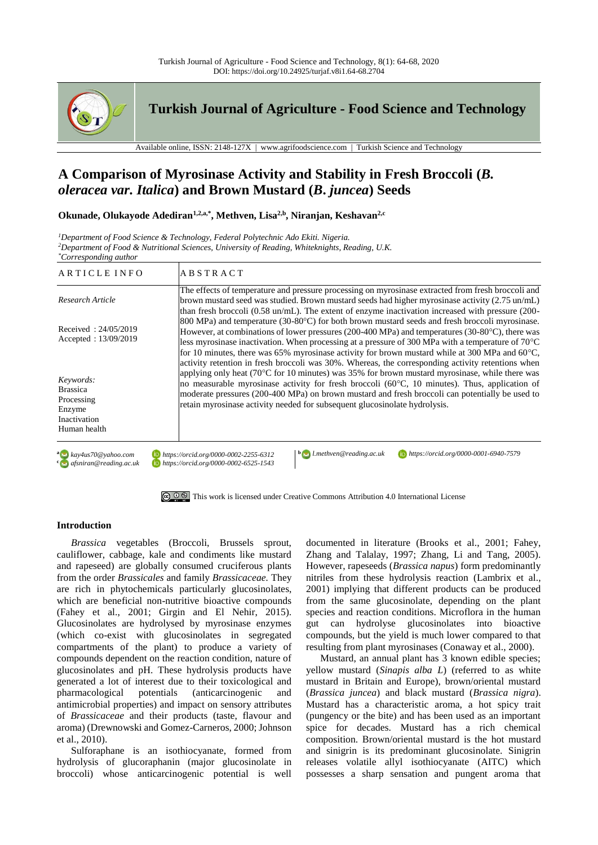

**Turkish Journal of Agriculture - Food Science and Technology**

Available online, ISSN:  $2148-127X$  | www.agrifoodscience.com | Turkish Science and Technology

# **A Comparison of Myrosinase Activity and Stability in Fresh Broccoli (***B. oleracea var. Italica***) and Brown Mustard (***B***.** *juncea***) Seeds**

**Okunade, Olukayode Adediran1,2,a,\*, Methven, Lisa2,b , Niranjan, Keshavan2,c**

*<sup>1</sup>Department of Food Science & Technology, Federal Polytechnic Ado Ekiti. Nigeria. <sup>2</sup>Department of Food & Nutritional Sciences, University of Reading, Whiteknights, Reading, U.K. \*Corresponding author*

| ARTICLE INFO                                                                         | <b>ABSTRACT</b>                                                                                                                                                                                                                                                                                                                                                                                                                                                                                            |  |  |  |  |  |  |
|--------------------------------------------------------------------------------------|------------------------------------------------------------------------------------------------------------------------------------------------------------------------------------------------------------------------------------------------------------------------------------------------------------------------------------------------------------------------------------------------------------------------------------------------------------------------------------------------------------|--|--|--|--|--|--|
| Research Article                                                                     | The effects of temperature and pressure processing on myrosinase extracted from fresh broccoli and<br>brown mustard seed was studied. Brown mustard seeds had higher myrosinase activity (2.75 un/mL)<br>than fresh broccoli ( $0.58 \text{ un/mL}$ ). The extent of enzyme inactivation increased with pressure ( $200$ -                                                                                                                                                                                 |  |  |  |  |  |  |
| Received: $24/05/2019$<br>Accepted: 13/09/2019                                       | 800 MPa) and temperature (30-80°C) for both brown mustard seeds and fresh broccoli myrosinase.<br>However, at combinations of lower pressures (200-400 MPa) and temperatures (30-80 $^{\circ}$ C), there was<br>less myrosinase inactivation. When processing at a pressure of 300 MPa with a temperature of $70^{\circ}$ C<br>for 10 minutes, there was 65% myrosinase activity for brown mustard while at 300 MPa and 60 $^{\circ}$ C,                                                                   |  |  |  |  |  |  |
| Keywords:<br><b>Brassica</b><br>Processing<br>Enzyme<br>Inactivation<br>Human health | activity retention in fresh broccoli was 30%. Whereas, the corresponding activity retentions when<br>applying only heat ( $70^{\circ}$ C for 10 minutes) was 35% for brown mustard myrosinase, while there was<br>no measurable myrosinase activity for fresh broccoli (60 $\degree$ C, 10 minutes). Thus, application of<br>moderate pressures (200-400 MPa) on brown mustard and fresh broccoli can potentially be used to<br>retain myrosinase activity needed for subsequent glucosinolate hydrolysis. |  |  |  |  |  |  |
| $a \rightarrow kay4us70@yahoo.com$<br>$\epsilon$ afsniran@reading.ac.uk              | $\mathbf{b}$   l.methven@reading.ac.uk<br>https://orcid.org/0000-0001-6940-7579<br>https://orcid.org/0000-0002-2255-6312<br>https://orcid.org/0000-0002-6525-1543                                                                                                                                                                                                                                                                                                                                          |  |  |  |  |  |  |

[This work is licensed under Creative Commons Attribution 4.0 International License](http://creativecommons.org/licenses/by-nc/4.0/)

## **Introduction**

*Brassica* vegetables (Broccoli, Brussels sprout, cauliflower, cabbage, kale and condiments like mustard and rapeseed) are globally consumed cruciferous plants from the order *Brassicales* and family *Brassicaceae.* They are rich in phytochemicals particularly glucosinolates, which are beneficial non-nutritive bioactive compounds (Fahey et al., 2001; Girgin and El Nehir, 2015). Glucosinolates are hydrolysed by myrosinase enzymes (which co-exist with glucosinolates in segregated compartments of the plant) to produce a variety of compounds dependent on the reaction condition, nature of glucosinolates and pH. These hydrolysis products have generated a lot of interest due to their toxicological and pharmacological potentials (anticarcinogenic and antimicrobial properties) and impact on sensory attributes of *Brassicaceae* and their products (taste, flavour and aroma) (Drewnowski and Gomez-Carneros, 2000; Johnson et al., 2010).

Sulforaphane is an isothiocyanate, formed from hydrolysis of glucoraphanin (major glucosinolate in broccoli) whose anticarcinogenic potential is well documented in literature (Brooks et al., 2001; Fahey, Zhang and Talalay, 1997; Zhang, Li and Tang, 2005). However, rapeseeds (*Brassica napus*) form predominantly nitriles from these hydrolysis reaction (Lambrix et al., 2001) implying that different products can be produced from the same glucosinolate, depending on the plant species and reaction conditions. Microflora in the human gut can hydrolyse glucosinolates into bioactive compounds, but the yield is much lower compared to that resulting from plant myrosinases (Conaway et al., 2000).

Mustard, an annual plant has 3 known edible species; yellow mustard (*Sinapis alba L*) (referred to as white mustard in Britain and Europe), brown/oriental mustard (*Brassica juncea*) and black mustard (*Brassica nigra*). Mustard has a characteristic aroma, a hot spicy trait (pungency or the bite) and has been used as an important spice for decades. Mustard has a rich chemical composition. Brown/oriental mustard is the hot mustard and sinigrin is its predominant glucosinolate. Sinigrin releases volatile allyl isothiocyanate (AITC) which possesses a sharp sensation and pungent aroma that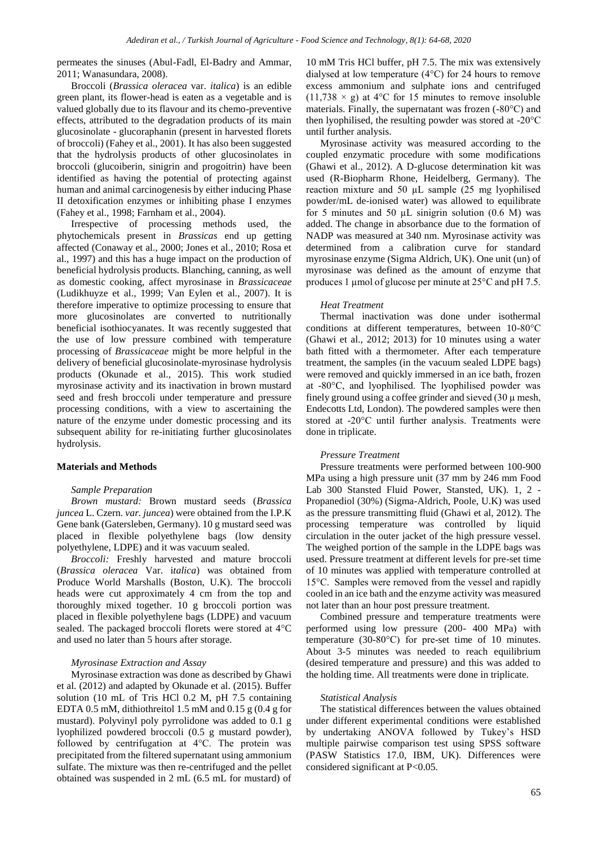permeates the sinuses (Abul-Fadl, El-Badry and Ammar, 2011; Wanasundara, 2008).

Broccoli (*Brassica oleracea* var. *italica*) is an edible green plant, its flower-head is eaten as a vegetable and is valued globally due to its flavour and its chemo-preventive effects, attributed to the degradation products of its main glucosinolate - glucoraphanin (present in harvested florets of broccoli) (Fahey et al., 2001). It has also been suggested that the hydrolysis products of other glucosinolates in broccoli (glucoiberin, sinigrin and progoitrin) have been identified as having the potential of protecting against human and animal carcinogenesis by either inducing Phase II detoxification enzymes or inhibiting phase I enzymes (Fahey et al., 1998; Farnham et al., 2004).

Irrespective of processing methods used, the phytochemicals present in *Brassicas* end up getting affected (Conaway et al., 2000; Jones et al., 2010; Rosa et al., 1997) and this has a huge impact on the production of beneficial hydrolysis products. Blanching, canning, as well as domestic cooking, affect myrosinase in *Brassicaceae*  (Ludikhuyze et al., 1999; Van Eylen et al., 2007). It is therefore imperative to optimize processing to ensure that more glucosinolates are converted to nutritionally beneficial isothiocyanates. It was recently suggested that the use of low pressure combined with temperature processing of *Brassicaceae* might be more helpful in the delivery of beneficial glucosinolate-myrosinase hydrolysis products (Okunade et al., 2015). This work studied myrosinase activity and its inactivation in brown mustard seed and fresh broccoli under temperature and pressure processing conditions, with a view to ascertaining the nature of the enzyme under domestic processing and its subsequent ability for re-initiating further glucosinolates hydrolysis.

## **Materials and Methods**

## *Sample Preparation*

*Brown mustard:* Brown mustard seeds (*Brassica juncea* L. Czern. *var. juncea*) were obtained from the I.P.K Gene bank (Gatersleben, Germany). 10 g mustard seed was placed in flexible polyethylene bags (low density polyethylene, LDPE) and it was vacuum sealed.

*Broccoli:* Freshly harvested and mature broccoli (*Brassica oleracea* Var. i*talica*) was obtained from Produce World Marshalls (Boston, U.K). The broccoli heads were cut approximately 4 cm from the top and thoroughly mixed together. 10 g broccoli portion was placed in flexible polyethylene bags (LDPE) and vacuum sealed. The packaged broccoli florets were stored at 4°C and used no later than 5 hours after storage.

## *Myrosinase Extraction and Assay*

Myrosinase extraction was done as described by Ghawi et al*.* (2012) and adapted by Okunade et al. (2015). Buffer solution (10 mL of Tris HCl 0.2 M, pH 7.5 containing EDTA 0.5 mM, dithiothreitol 1.5 mM and 0.15 g (0.4 g for mustard). Polyvinyl poly pyrrolidone was added to 0.1 g lyophilized powdered broccoli (0.5 g mustard powder), followed by centrifugation at 4°C. The protein was precipitated from the filtered supernatant using ammonium sulfate. The mixture was then re-centrifuged and the pellet obtained was suspended in 2 mL (6.5 mL for mustard) of

10 mM Tris HCl buffer, pH 7.5. The mix was extensively dialysed at low temperature (4°C) for 24 hours to remove excess ammonium and sulphate ions and centrifuged  $(11,738 \times g)$  at 4°C for 15 minutes to remove insoluble materials. Finally, the supernatant was frozen (-80°C) and then lyophilised, the resulting powder was stored at -20°C until further analysis.

Myrosinase activity was measured according to the coupled enzymatic procedure with some modifications (Ghawi et al., 2012). A D-glucose determination kit was used (R-Biopharm Rhone, Heidelberg, Germany). The reaction mixture and 50 µL sample (25 mg lyophilised powder/mL de-ionised water) was allowed to equilibrate for 5 minutes and 50  $\mu$ L sinigrin solution (0.6 M) was added. The change in absorbance due to the formation of NADP was measured at 340 nm. Myrosinase activity was determined from a calibration curve for standard myrosinase enzyme (Sigma Aldrich, UK). One unit (un) of myrosinase was defined as the amount of enzyme that produces 1 µmol of glucose per minute at 25°C and pH 7.5.

#### *Heat Treatment*

Thermal inactivation was done under isothermal conditions at different temperatures, between 10-80°C (Ghawi et al., 2012; 2013) for 10 minutes using a water bath fitted with a thermometer. After each temperature treatment, the samples (in the vacuum sealed LDPE bags) were removed and quickly immersed in an ice bath, frozen at -80°C, and lyophilised. The lyophilised powder was finely ground using a coffee grinder and sieved  $(30 \mu \text{ mesh},$ Endecotts Ltd, London). The powdered samples were then stored at -20°C until further analysis. Treatments were done in triplicate.

#### *Pressure Treatment*

Pressure treatments were performed between 100-900 MPa using a high pressure unit (37 mm by 246 mm Food Lab 300 Stansted Fluid Power, Stansted, UK). 1, 2 - Propanediol (30%) (Sigma-Aldrich, Poole, U.K) was used as the pressure transmitting fluid (Ghawi et al, 2012). The processing temperature was controlled by liquid circulation in the outer jacket of the high pressure vessel. The weighed portion of the sample in the LDPE bags was used. Pressure treatment at different levels for pre-set time of 10 minutes was applied with temperature controlled at 15°C. Samples were removed from the vessel and rapidly cooled in an ice bath and the enzyme activity was measured not later than an hour post pressure treatment.

Combined pressure and temperature treatments were performed using low pressure (200- 400 MPa) with temperature (30-80°C) for pre-set time of 10 minutes. About 3-5 minutes was needed to reach equilibrium (desired temperature and pressure) and this was added to the holding time. All treatments were done in triplicate.

# *Statistical Analysis*

The statistical differences between the values obtained under different experimental conditions were established by undertaking ANOVA followed by Tukey's HSD multiple pairwise comparison test using SPSS software (PASW Statistics 17.0, IBM, UK). Differences were considered significant at P<0.05.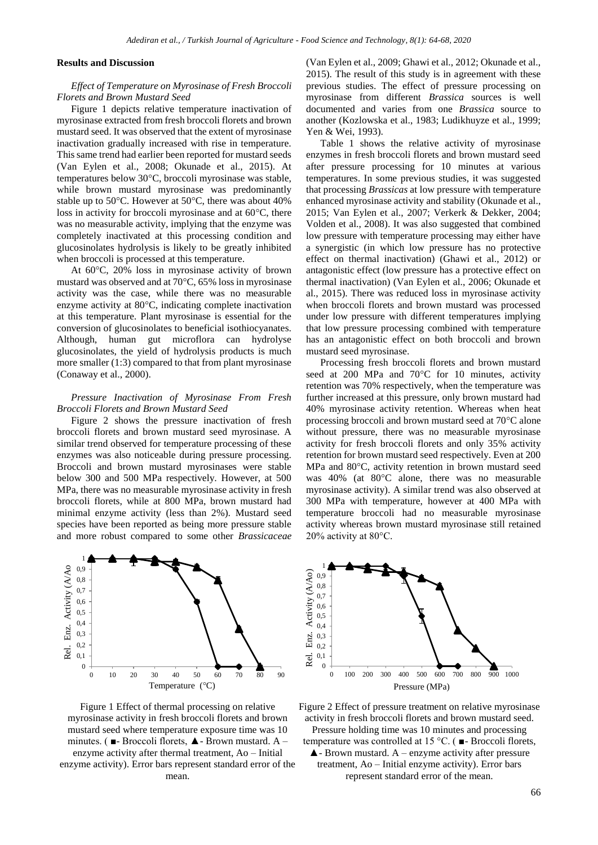## **Results and Discussion**

# *Effect of Temperature on Myrosinase of Fresh Broccoli Florets and Brown Mustard Seed*

Figure 1 depicts relative temperature inactivation of myrosinase extracted from fresh broccoli florets and brown mustard seed. It was observed that the extent of myrosinase inactivation gradually increased with rise in temperature. This same trend had earlier been reported for mustard seeds (Van Eylen et al., 2008; Okunade et al., 2015). At temperatures below 30°C, broccoli myrosinase was stable, while brown mustard myrosinase was predominantly stable up to 50°C. However at 50°C, there was about 40% loss in activity for broccoli myrosinase and at 60°C, there was no measurable activity, implying that the enzyme was completely inactivated at this processing condition and glucosinolates hydrolysis is likely to be greatly inhibited when broccoli is processed at this temperature.

At 60°C, 20% loss in myrosinase activity of brown mustard was observed and at 70°C, 65% loss in myrosinase activity was the case, while there was no measurable enzyme activity at 80°C, indicating complete inactivation at this temperature. Plant myrosinase is essential for the conversion of glucosinolates to beneficial isothiocyanates. Although, human gut microflora can hydrolyse glucosinolates, the yield of hydrolysis products is much more smaller (1:3) compared to that from plant myrosinase (Conaway et al., 2000).

# *Pressure Inactivation of Myrosinase From Fresh Broccoli Florets and Brown Mustard Seed*

Figure 2 shows the pressure inactivation of fresh broccoli florets and brown mustard seed myrosinase. A similar trend observed for temperature processing of these enzymes was also noticeable during pressure processing. Broccoli and brown mustard myrosinases were stable below 300 and 500 MPa respectively. However, at 500 MPa, there was no measurable myrosinase activity in fresh broccoli florets, while at 800 MPa, brown mustard had minimal enzyme activity (less than 2%). Mustard seed species have been reported as being more pressure stable and more robust compared to some other *Brassicaceae*



Figure 1 Effect of thermal processing on relative myrosinase activity in fresh broccoli florets and brown mustard seed where temperature exposure time was 10 minutes. ( $\blacksquare$ - Broccoli florets,  $\blacktriangle$  - Brown mustard. A – enzyme activity after thermal treatment, Ao – Initial enzyme activity). Error bars represent standard error of the mean.

(Van Eylen et al., 2009; Ghawi et al., 2012; Okunade et al., 2015). The result of this study is in agreement with these previous studies. The effect of pressure processing on myrosinase from different *Brassica* sources is well documented and varies from one *Brassica* source to another (Kozlowska et al., 1983; Ludikhuyze et al., 1999; Yen & Wei, 1993).

Table 1 shows the relative activity of myrosinase enzymes in fresh broccoli florets and brown mustard seed after pressure processing for 10 minutes at various temperatures. In some previous studies, it was suggested that processing *Brassicas* at low pressure with temperature enhanced myrosinase activity and stability (Okunade et al., 2015; Van Eylen et al., 2007; Verkerk & Dekker, 2004; Volden et al., 2008). It was also suggested that combined low pressure with temperature processing may either have a synergistic (in which low pressure has no protective effect on thermal inactivation) (Ghawi et al., 2012) or antagonistic effect (low pressure has a protective effect on thermal inactivation) (Van Eylen et al., 2006; Okunade et al., 2015). There was reduced loss in myrosinase activity when broccoli florets and brown mustard was processed under low pressure with different temperatures implying that low pressure processing combined with temperature has an antagonistic effect on both broccoli and brown mustard seed myrosinase.

Processing fresh broccoli florets and brown mustard seed at 200 MPa and 70°C for 10 minutes, activity retention was 70% respectively, when the temperature was further increased at this pressure, only brown mustard had 40% myrosinase activity retention. Whereas when heat processing broccoli and brown mustard seed at 70°C alone without pressure, there was no measurable myrosinase activity for fresh broccoli florets and only 35% activity retention for brown mustard seed respectively. Even at 200 MPa and 80°C, activity retention in brown mustard seed was 40% (at 80°C alone, there was no measurable myrosinase activity). A similar trend was also observed at 300 MPa with temperature, however at 400 MPa with temperature broccoli had no measurable myrosinase activity whereas brown mustard myrosinase still retained 20% activity at 80°C.



Figure 2 Effect of pressure treatment on relative myrosinase activity in fresh broccoli florets and brown mustard seed. Pressure holding time was 10 minutes and processing temperature was controlled at 15 °C. ( ■- Broccoli florets,  $\blacktriangle$ - Brown mustard. A – enzyme activity after pressure treatment, Ao – Initial enzyme activity). Error bars represent standard error of the mean.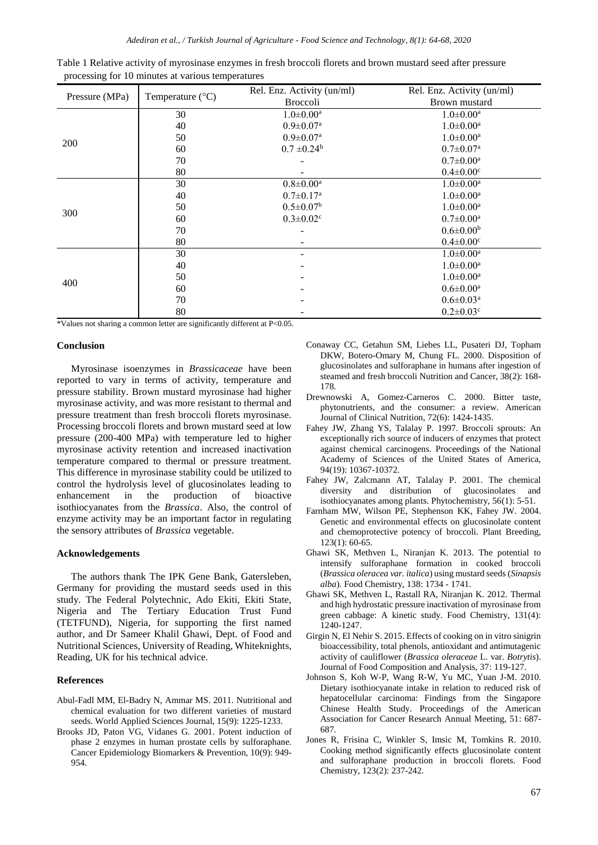| Pressure (MPa) |                           | Rel. Enz. Activity (un/ml)  | Rel. Enz. Activity (un/ml)  |  |  |  |
|----------------|---------------------------|-----------------------------|-----------------------------|--|--|--|
|                | Temperature $(^{\circ}C)$ | <b>Broccoli</b>             | Brown mustard               |  |  |  |
|                | 30                        | $1.0 \pm 0.00^a$            | $1.0 \pm 0.00^a$            |  |  |  |
| 200            | 40                        | $0.9 \pm 0.07$ <sup>a</sup> | $1.0 \pm 0.00^a$            |  |  |  |
|                | 50                        | $0.9 \pm 0.07^{\text{a}}$   | $1.0 \pm 0.00^a$            |  |  |  |
|                | 60                        | $0.7 \pm 0.24^b$            | $0.7 \pm 0.07^{\text{a}}$   |  |  |  |
|                | 70                        |                             | $0.7 \pm 0.00^{\text{a}}$   |  |  |  |
|                | 80                        |                             | $0.4 \pm 0.00$ <sup>c</sup> |  |  |  |
|                | 30                        | $0.8 \pm 0.00^a$            | $1.0 \pm 0.00^{\rm a}$      |  |  |  |
|                | 40                        | $0.7 \pm 0.17$ <sup>a</sup> | $1.0 \pm 0.00^a$            |  |  |  |
| 300            | 50                        | $0.5 \pm 0.07$ <sup>b</sup> | $1.0 \pm 0.00^a$            |  |  |  |
|                | 60                        | $0.3 \pm 0.02$ <sup>c</sup> | $0.7 \pm 0.00^{\rm a}$      |  |  |  |
|                | 70                        |                             | $0.6 \pm 0.00^b$            |  |  |  |
|                | 80                        |                             | $0.4 \pm 0.00^{\circ}$      |  |  |  |
| 400            | 30                        |                             | $1.0 \pm 0.00^{\text{a}}$   |  |  |  |
|                | 40                        |                             | $1.0 \pm 0.00^a$            |  |  |  |
|                | 50                        |                             | $1.0 \pm 0.00^a$            |  |  |  |
|                | 60                        |                             | $0.6 \pm 0.00^{\text{a}}$   |  |  |  |
|                | 70                        |                             | $0.6 \pm 0.03^{\text{a}}$   |  |  |  |
|                | 80                        |                             | $0.2 \pm 0.03$ <sup>c</sup> |  |  |  |

|  | Table 1 Relative activity of myrosinase enzymes in fresh broccoli florets and brown mustard seed after pressure |  |  |  |  |  |
|--|-----------------------------------------------------------------------------------------------------------------|--|--|--|--|--|
|  | processing for 10 minutes at various temperatures                                                               |  |  |  |  |  |

\*Values not sharing a common letter are significantly different at P<0.05.

### **Conclusion**

Myrosinase isoenzymes in *Brassicaceae* have been reported to vary in terms of activity, temperature and pressure stability. Brown mustard myrosinase had higher myrosinase activity, and was more resistant to thermal and pressure treatment than fresh broccoli florets myrosinase. Processing broccoli florets and brown mustard seed at low pressure (200-400 MPa) with temperature led to higher myrosinase activity retention and increased inactivation temperature compared to thermal or pressure treatment. This difference in myrosinase stability could be utilized to control the hydrolysis level of glucosinolates leading to enhancement in the production of bioactive isothiocyanates from the *Brassica*. Also, the control of enzyme activity may be an important factor in regulating the sensory attributes of *Brassica* vegetable.

### **Acknowledgements**

The authors thank The IPK Gene Bank, Gatersleben, Germany for providing the mustard seeds used in this study. The Federal Polytechnic, Ado Ekiti, Ekiti State, Nigeria and The Tertiary Education Trust Fund (TETFUND), Nigeria, for supporting the first named author, and Dr Sameer Khalil Ghawi, Dept. of Food and Nutritional Sciences, University of Reading, Whiteknights, Reading, UK for his technical advice.

#### **References**

- Abul-Fadl MM, El-Badry N, Ammar MS. 2011. Nutritional and chemical evaluation for two different varieties of mustard seeds. World Applied Sciences Journal, 15(9): 1225-1233.
- Brooks JD, Paton VG, Vidanes G. 2001. Potent induction of phase 2 enzymes in human prostate cells by sulforaphane. Cancer Epidemiology Biomarkers & Prevention, 10(9): 949- 954.
- Conaway CC, Getahun SM, Liebes LL, Pusateri DJ, Topham DKW, Botero-Omary M, Chung FL. 2000. Disposition of glucosinolates and sulforaphane in humans after ingestion of steamed and fresh broccoli Nutrition and Cancer, 38(2): 168- 178.
- Drewnowski A, Gomez-Carneros C. 2000. Bitter taste, phytonutrients, and the consumer: a review. American Journal of Clinical Nutrition, 72(6): 1424-1435.
- Fahey JW, Zhang YS, Talalay P. 1997. Broccoli sprouts: An exceptionally rich source of inducers of enzymes that protect against chemical carcinogens. Proceedings of the National Academy of Sciences of the United States of America, 94(19): 10367-10372.
- Fahey JW, Zalcmann AT, Talalay P. 2001. The chemical diversity and distribution of glucosinolates and isothiocyanates among plants. Phytochemistry, 56(1): 5-51.
- Farnham MW, Wilson PE, Stephenson KK, Fahey JW. 2004. Genetic and environmental effects on glucosinolate content and chemoprotective potency of broccoli. Plant Breeding, 123(1): 60-65.
- Ghawi SK, Methven L, Niranjan K. 2013. The potential to intensify sulforaphane formation in cooked broccoli (*Brassica oleracea var. italica*) using mustard seeds (*Sinapsis alba*). Food Chemistry, 138: 1734 - 1741.
- Ghawi SK, Methven L, Rastall RA, Niranjan K. 2012. Thermal and high hydrostatic pressure inactivation of myrosinase from green cabbage: A kinetic study. Food Chemistry, 131(4): 1240-1247.
- Girgin N, El Nehir S. 2015. Effects of cooking on in vitro sinigrin bioaccessibility, total phenols, antioxidant and antimutagenic activity of cauliflower (*Brassica oleraceae* L. var. *Botrytis*). Journal of Food Composition and Analysis, 37: 119-127.
- Johnson S, Koh W-P, Wang R-W, Yu MC, Yuan J-M. 2010. Dietary isothiocyanate intake in relation to reduced risk of hepatocellular carcinoma: Findings from the Singapore Chinese Health Study. Proceedings of the American Association for Cancer Research Annual Meeting, 51: 687- 687.
- Jones R, Frisina C, Winkler S, Imsic M, Tomkins R. 2010. Cooking method significantly effects glucosinolate content and sulforaphane production in broccoli florets. Food Chemistry, 123(2): 237-242.